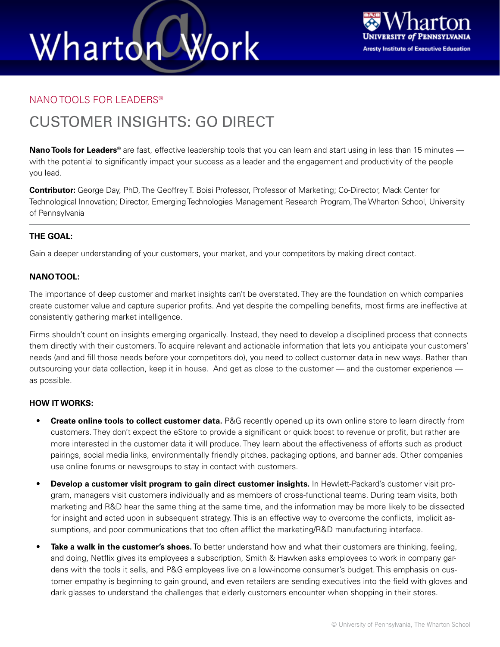# Wharton Work



### NANO TOOLS FOR LEADERS®

### CUSTOMER INSIGHTS: GO DIRECT

**Nano Tools for Leaders®** are fast, effective leadership tools that you can learn and start using in less than 15 minutes with the potential to significantly impact your success as a leader and the engagement and productivity of the people you lead.

**Contributor:** George Day, PhD, The Geoffrey T. Boisi Professor, Professor of Marketing; Co-Director, Mack Center for Technological Innovation; Director, Emerging Technologies Management Research Program, The Wharton School, University of Pennsylvania

### **THE GOAL:**

Gain a deeper understanding of your customers, your market, and your competitors by making direct contact.

### **NANO TOOL:**

The importance of deep customer and market insights can't be overstated. They are the foundation on which companies create customer value and capture superior profits. And yet despite the compelling benefits, most firms are ineffective at consistently gathering market intelligence.

Firms shouldn't count on insights emerging organically. Instead, they need to develop a disciplined process that connects them directly with their customers. To acquire relevant and actionable information that lets you anticipate your customers' needs (and and fill those needs before your competitors do), you need to collect customer data in new ways. Rather than outsourcing your data collection, keep it in house. And get as close to the customer — and the customer experience as possible.

### **HOW IT WORKS:**

- **Create online tools to collect customer data.** P&G recently opened up its own online store to learn directly from customers. They don't expect the eStore to provide a significant or quick boost to revenue or profit, but rather are more interested in the customer data it will produce. They learn about the effectiveness of efforts such as product pairings, social media links, environmentally friendly pitches, packaging options, and banner ads. Other companies use online forums or newsgroups to stay in contact with customers.
- **Develop a customer visit program to gain direct customer insights.** In Hewlett-Packard's customer visit program, managers visit customers individually and as members of cross-functional teams. During team visits, both marketing and R&D hear the same thing at the same time, and the information may be more likely to be dissected for insight and acted upon in subsequent strategy. This is an effective way to overcome the conflicts, implicit assumptions, and poor communications that too often afflict the marketing/R&D manufacturing interface.
- **Take a walk in the customer's shoes.** To better understand how and what their customers are thinking, feeling, and doing, Netflix gives its employees a subscription, Smith & Hawken asks employees to work in company gardens with the tools it sells, and P&G employees live on a low-income consumer's budget. This emphasis on customer empathy is beginning to gain ground, and even retailers are sending executives into the field with gloves and dark glasses to understand the challenges that elderly customers encounter when shopping in their stores.